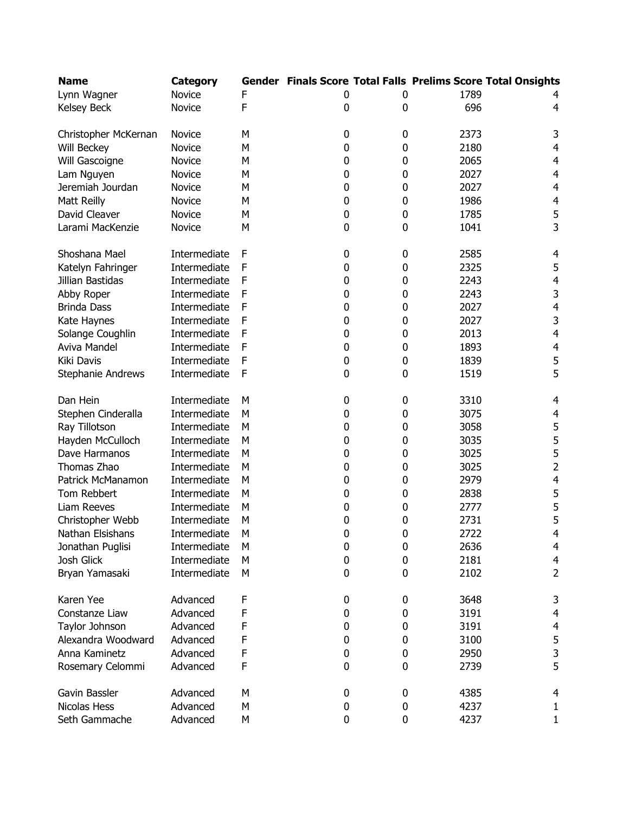| <b>Name</b>              | <b>Category</b> |   |   |           |      | Gender Finals Score Total Falls Prelims Score Total Onsights |
|--------------------------|-----------------|---|---|-----------|------|--------------------------------------------------------------|
| Lynn Wagner              | Novice          | F | 0 | 0         | 1789 |                                                              |
| Kelsey Beck              | Novice          | F | 0 | 0         | 696  | 4                                                            |
|                          |                 |   |   |           |      |                                                              |
| Christopher McKernan     | Novice          | М | 0 | 0         | 2373 | 3                                                            |
| Will Beckey              | Novice          | M | 0 | 0         | 2180 | $\overline{4}$                                               |
| Will Gascoigne           | Novice          | М | 0 | 0         | 2065 | $\overline{4}$                                               |
| Lam Nguyen               | Novice          | M | 0 | 0         | 2027 | $\overline{4}$                                               |
| Jeremiah Jourdan         | Novice          | M | 0 | 0         | 2027 | $\overline{4}$                                               |
| Matt Reilly              | Novice          | M | 0 | 0         | 1986 | $\overline{4}$                                               |
| David Cleaver            | Novice          | M | 0 | 0         | 1785 | 5                                                            |
| Larami MacKenzie         | Novice          | М | 0 | 0         | 1041 | 3                                                            |
|                          |                 |   |   |           |      |                                                              |
| Shoshana Mael            | Intermediate    | F | 0 | 0         | 2585 | 4                                                            |
| Katelyn Fahringer        | Intermediate    | F | 0 | 0         | 2325 | 5                                                            |
| Jillian Bastidas         | Intermediate    | F | 0 | 0         | 2243 | 4                                                            |
| Abby Roper               | Intermediate    | F | 0 | 0         | 2243 | 3                                                            |
| <b>Brinda Dass</b>       | Intermediate    | F | 0 | 0         | 2027 | $\overline{4}$                                               |
| Kate Haynes              | Intermediate    | F | 0 | 0         | 2027 | 3                                                            |
| Solange Coughlin         | Intermediate    | F | 0 | 0         | 2013 | $\overline{4}$                                               |
| Aviva Mandel             | Intermediate    | F | 0 | 0         | 1893 | $\overline{\mathbf{r}}$                                      |
| Kiki Davis               | Intermediate    | F | 0 | 0         | 1839 | 5                                                            |
| <b>Stephanie Andrews</b> | Intermediate    | F | 0 | 0         | 1519 | 5                                                            |
|                          |                 |   |   |           |      |                                                              |
| Dan Hein                 | Intermediate    | М | 0 | 0         | 3310 | 4                                                            |
| Stephen Cinderalla       | Intermediate    | M | 0 | 0         | 3075 | $\overline{4}$                                               |
| Ray Tillotson            | Intermediate    | М | 0 | 0         | 3058 | 5                                                            |
| Hayden McCulloch         | Intermediate    | М | 0 | 0         | 3035 | 5                                                            |
| Dave Harmanos            | Intermediate    | М | 0 | 0         | 3025 | 5                                                            |
| Thomas Zhao              | Intermediate    | М | 0 | 0         | 3025 | $\overline{2}$                                               |
| Patrick McManamon        | Intermediate    | M | 0 | 0         | 2979 | $\overline{4}$                                               |
| Tom Rebbert              | Intermediate    | М | 0 | 0         | 2838 | 5                                                            |
| Liam Reeves              | Intermediate    | М | 0 | 0         | 2777 | 5                                                            |
| Christopher Webb         | Intermediate    | М | 0 | 0         | 2731 | 5                                                            |
| Nathan Elsishans         | Intermediate    | М | 0 | 0         | 2722 | 4                                                            |
| Jonathan Puglisi         | Intermediate    | М | 0 | $\pmb{0}$ | 2636 | 4                                                            |
| Josh Glick               | Intermediate    | М | 0 | 0         | 2181 | $\overline{4}$                                               |
| Bryan Yamasaki           | Intermediate    | М | 0 | 0         | 2102 | $\overline{2}$                                               |
|                          |                 |   |   |           |      |                                                              |
| Karen Yee                | Advanced        | F | 0 | 0         | 3648 | 3                                                            |
| Constanze Liaw           | Advanced        | F | 0 | 0         | 3191 | 4                                                            |
| Taylor Johnson           | Advanced        | F | 0 | 0         | 3191 | $\overline{4}$                                               |
| Alexandra Woodward       | Advanced        | F | 0 | 0         | 3100 | 5                                                            |
| Anna Kaminetz            | Advanced        | F | 0 | 0         | 2950 | 3                                                            |
| Rosemary Celommi         | Advanced        | F | 0 | 0         | 2739 | 5                                                            |
|                          |                 |   |   |           |      |                                                              |
| Gavin Bassler            | Advanced        | М | 0 | 0         | 4385 | 4                                                            |
| Nicolas Hess             | Advanced        | М | 0 | 0         | 4237 | 1                                                            |
| Seth Gammache            | Advanced        | М | 0 | 0         | 4237 | 1                                                            |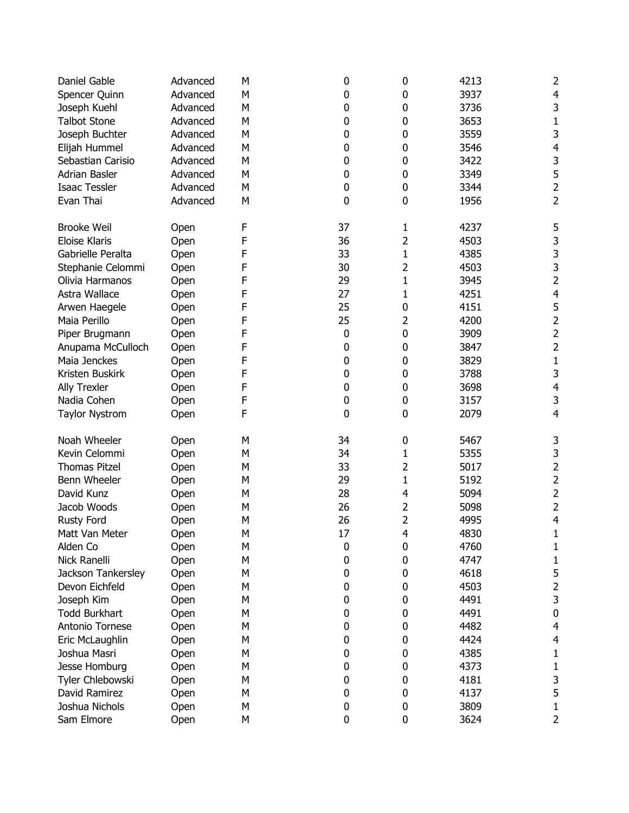| Daniel Gable          | Advanced | М | 0        | 0              | 4213 | 2                       |
|-----------------------|----------|---|----------|----------------|------|-------------------------|
| Spencer Quinn         | Advanced | M | 0        | 0              | 3937 | 4                       |
| Joseph Kuehl          | Advanced | M | 0        | 0              | 3736 | 3                       |
| <b>Talbot Stone</b>   | Advanced | M | 0        | 0              | 3653 | 1                       |
| Joseph Buchter        | Advanced | Μ | 0        | 0              | 3559 | 3                       |
| Elijah Hummel         | Advanced | Μ | 0        | 0              | 3546 | $\overline{4}$          |
| Sebastian Carisio     | Advanced | M | 0        | 0              | 3422 | 3                       |
| Adrian Basler         | Advanced | Μ | 0        | 0              | 3349 | 5                       |
| <b>Isaac Tessler</b>  | Advanced | M | 0        | 0              | 3344 | $\overline{\mathbf{c}}$ |
| Evan Thai             | Advanced | M | 0        | 0              | 1956 | $\overline{2}$          |
| <b>Brooke Weil</b>    | Open     | F | 37       | 1              | 4237 | 5                       |
| <b>Eloise Klaris</b>  | Open     | F | 36       | $\overline{2}$ | 4503 | 3                       |
| Gabrielle Peralta     | Open     | F | 33       | 1              | 4385 | 3                       |
| Stephanie Celommi     | Open     | F | 30       | 2              | 4503 | 3                       |
| Olivia Harmanos       | Open     | F | 29       | $\mathbf{1}$   | 3945 | $\overline{\mathbf{c}}$ |
| Astra Wallace         | Open     | F | 27       | $\mathbf{1}$   | 4251 | $\overline{4}$          |
| Arwen Haegele         | Open     | F | 25       | 0              | 4151 | 5                       |
| Maia Perillo          | Open     | F | 25       | 2              | 4200 | $\overline{c}$          |
| Piper Brugmann        | Open     | F | $\bf{0}$ | 0              | 3909 | $\overline{2}$          |
| Anupama McCulloch     | Open     | F | 0        | 0              | 3847 | $\overline{c}$          |
| Maia Jenckes          | Open     | F | 0        | 0              | 3829 | $\mathbf 1$             |
| Kristen Buskirk       | Open     | F | 0        | 0              | 3788 | 3                       |
| Ally Trexler          | Open     | F | 0        | 0              | 3698 | $\overline{\mathbf{4}}$ |
| Nadia Cohen           | Open     | F | 0        | 0              | 3157 | 3                       |
| <b>Taylor Nystrom</b> | Open     | F | 0        | 0              | 2079 | $\overline{4}$          |
| Noah Wheeler          | Open     | M | 34       | 0              | 5467 | 3                       |
| Kevin Celommi         | Open     | M | 34       | 1              | 5355 | 3                       |
| <b>Thomas Pitzel</b>  | Open     | Μ | 33       | 2              | 5017 | $\overline{2}$          |
| Benn Wheeler          | Open     | Μ | 29       | $\mathbf{1}$   | 5192 | $\overline{2}$          |
| David Kunz            | Open     | M | 28       | 4              | 5094 | $\overline{c}$          |
| Jacob Woods           | Open     | Μ | 26       | 2              | 5098 | $\overline{\mathbf{c}}$ |
| <b>Rusty Ford</b>     | Open     | Μ | 26       | $\overline{2}$ | 4995 | $\overline{4}$          |
| Matt Van Meter        | Open     | М | $17\,$   | 4              | 4830 | $\mathbf 1$             |
| Alden Co              | Open     | Μ | 0        | 0              | 4760 | 1                       |
| Nick Ranelli          | Open     | M | 0        | 0              | 4747 | 1                       |
| Jackson Tankersley    | Open     | Μ | 0        | 0              | 4618 | 5                       |
| Devon Eichfeld        | Open     | Μ | 0        | 0              | 4503 | $\overline{2}$          |
| Joseph Kim            | Open     | Μ | 0        | 0              | 4491 | 3                       |
| <b>Todd Burkhart</b>  | Open     | Μ | 0        | 0              | 4491 | $\pmb{0}$               |
| Antonio Tornese       | Open     | Μ | 0        | 0              | 4482 | 4                       |
| Eric McLaughlin       | Open     | Μ | 0        | 0              | 4424 | $\overline{\mathbf{r}}$ |
| Joshua Masri          | Open     | Μ | 0        | 0              | 4385 | 1                       |
| Jesse Homburg         | Open     | Μ | 0        | 0              | 4373 | 1                       |
| Tyler Chlebowski      | Open     | Μ | 0        | 0              | 4181 | 3                       |
| David Ramirez         | Open     | M | 0        | 0              | 4137 | 5                       |
| Joshua Nichols        | Open     | M | 0        | 0              | 3809 | 1                       |
| Sam Elmore            | Open     | Μ | 0        | 0              | 3624 | 2                       |